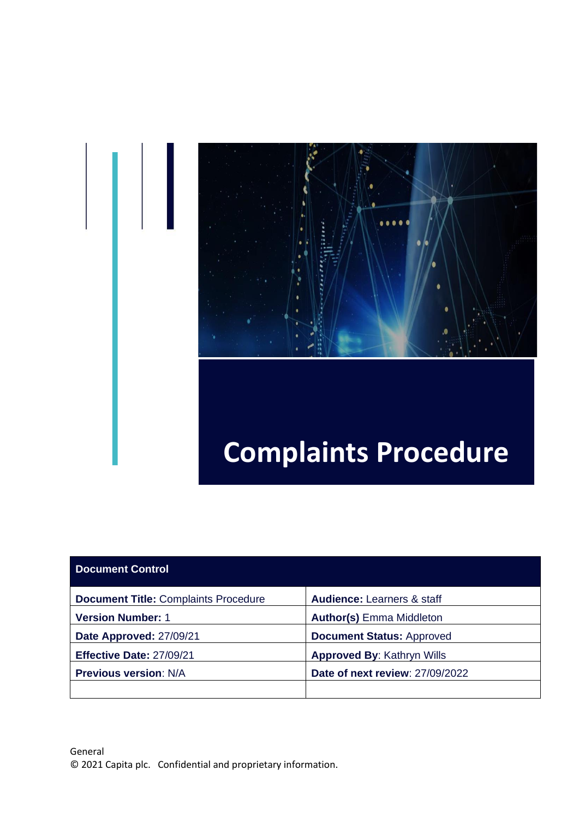

# **Complaints Procedure**

| <b>Document Control</b>                     |                                        |
|---------------------------------------------|----------------------------------------|
| <b>Document Title: Complaints Procedure</b> | <b>Audience: Learners &amp; staff</b>  |
| <b>Version Number: 1</b>                    | <b>Author(s)</b> Emma Middleton        |
| Date Approved: 27/09/21                     | <b>Document Status: Approved</b>       |
| Effective Date: 27/09/21                    | <b>Approved By: Kathryn Wills</b>      |
| <b>Previous version: N/A</b>                | <b>Date of next review: 27/09/2022</b> |
|                                             |                                        |

Ш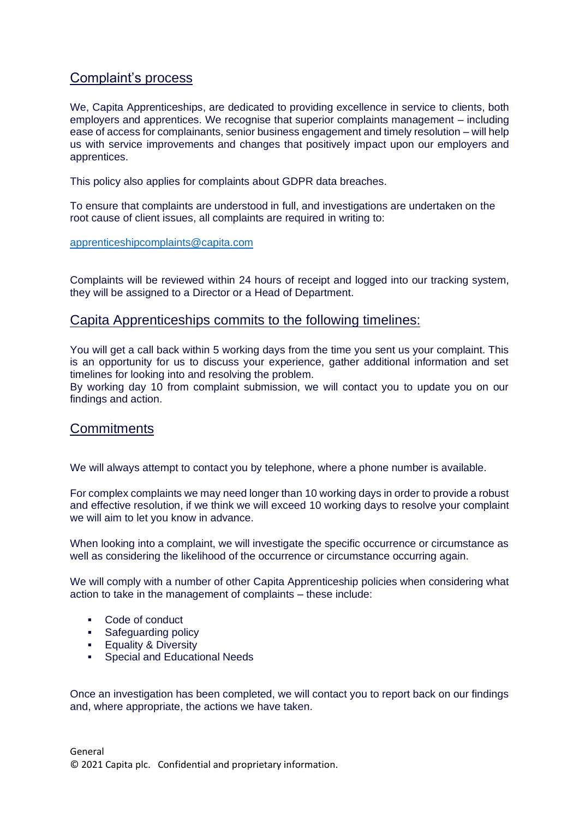## Complaint's process

We, Capita Apprenticeships, are dedicated to providing excellence in service to clients, both employers and apprentices. We recognise that superior complaints management – including ease of access for complainants, senior business engagement and timely resolution – will help us with service improvements and changes that positively impact upon our employers and apprentices.

This policy also applies for complaints about GDPR data breaches.

To ensure that complaints are understood in full, and investigations are undertaken on the root cause of client issues, all complaints are required in writing to:

[apprenticeshipcomplaints@capita.com](mailto:apprenticeshipcomplaints@capita.com)

Complaints will be reviewed within 24 hours of receipt and logged into our tracking system, they will be assigned to a Director or a Head of Department.

## Capita Apprenticeships commits to the following timelines:

You will get a call back within 5 working days from the time you sent us your complaint. This is an opportunity for us to discuss your experience, gather additional information and set timelines for looking into and resolving the problem.

By working day 10 from complaint submission, we will contact you to update you on our findings and action.

## **Commitments**

We will always attempt to contact you by telephone, where a phone number is available.

For complex complaints we may need longer than 10 working days in order to provide a robust and effective resolution, if we think we will exceed 10 working days to resolve your complaint we will aim to let you know in advance.

When looking into a complaint, we will investigate the specific occurrence or circumstance as well as considering the likelihood of the occurrence or circumstance occurring again.

We will comply with a number of other Capita Apprenticeship policies when considering what action to take in the management of complaints – these include:

- Code of conduct
- **•** [Safeguarding policy](https://www.qa.com/media/13982/qa-safeguarding-policy-and-procedure-jan-2019.pdf)
- **Equality & Diversity**
- Special and Educational Needs

Once an investigation has been completed, we will contact you to report back on our findings and, where appropriate, the actions we have taken.